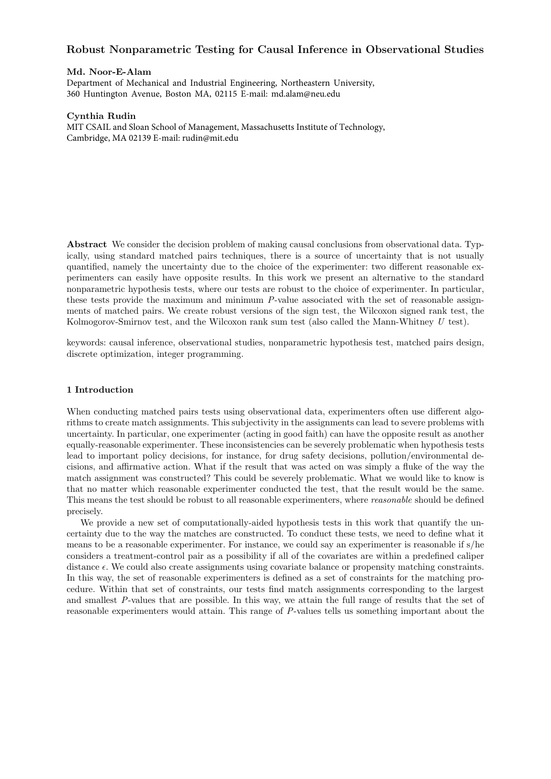# Robust Nonparametric Testing for Causal Inference in Observational Studies

# Md. Noor-E-Alam

Department of Mechanical and Industrial Engineering, Northeastern University, 360 Huntington Avenue, Boston MA, 02115 E-mail: md.alam@neu.edu

# Cynthia Rudin

MIT CSAIL and Sloan School of Management, Massachusetts Institute of Technology, Cambridge, MA 02139 E-mail: rudin@mit.edu

Abstract We consider the decision problem of making causal conclusions from observational data. Typically, using standard matched pairs techniques, there is a source of uncertainty that is not usually quantified, namely the uncertainty due to the choice of the experimenter: two different reasonable experimenters can easily have opposite results. In this work we present an alternative to the standard nonparametric hypothesis tests, where our tests are robust to the choice of experimenter. In particular, these tests provide the maximum and minimum P-value associated with the set of reasonable assignments of matched pairs. We create robust versions of the sign test, the Wilcoxon signed rank test, the Kolmogorov-Smirnov test, and the Wilcoxon rank sum test (also called the Mann-Whitney U test).

keywords: causal inference, observational studies, nonparametric hypothesis test, matched pairs design, discrete optimization, integer programming.

# 1 Introduction

When conducting matched pairs tests using observational data, experimenters often use different algorithms to create match assignments. This subjectivity in the assignments can lead to severe problems with uncertainty. In particular, one experimenter (acting in good faith) can have the opposite result as another equally-reasonable experimenter. These inconsistencies can be severely problematic when hypothesis tests lead to important policy decisions, for instance, for drug safety decisions, pollution/environmental decisions, and affirmative action. What if the result that was acted on was simply a fluke of the way the match assignment was constructed? This could be severely problematic. What we would like to know is that no matter which reasonable experimenter conducted the test, that the result would be the same. This means the test should be robust to all reasonable experimenters, where reasonable should be defined precisely.

We provide a new set of computationally-aided hypothesis tests in this work that quantify the uncertainty due to the way the matches are constructed. To conduct these tests, we need to define what it means to be a reasonable experimenter. For instance, we could say an experimenter is reasonable if s/he considers a treatment-control pair as a possibility if all of the covariates are within a predefined caliper distance  $\epsilon$ . We could also create assignments using covariate balance or propensity matching constraints. In this way, the set of reasonable experimenters is defined as a set of constraints for the matching procedure. Within that set of constraints, our tests find match assignments corresponding to the largest and smallest P-values that are possible. In this way, we attain the full range of results that the set of reasonable experimenters would attain. This range of P-values tells us something important about the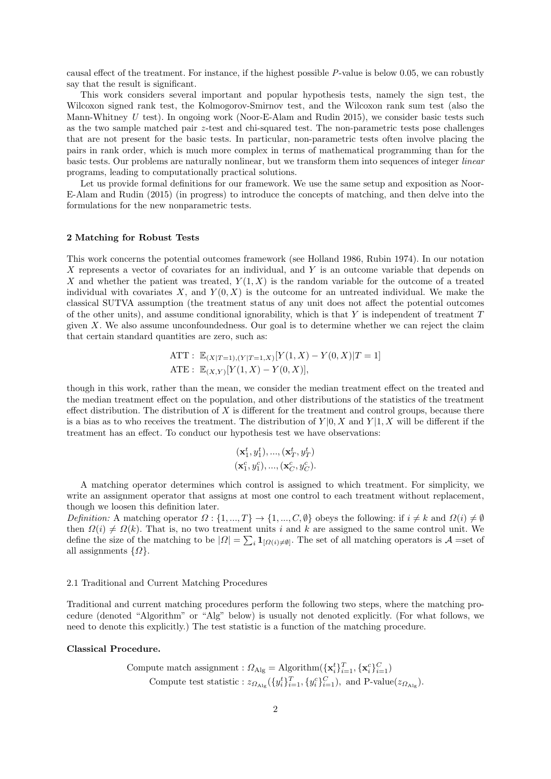causal effect of the treatment. For instance, if the highest possible P-value is below 0.05, we can robustly say that the result is significant.

This work considers several important and popular hypothesis tests, namely the sign test, the Wilcoxon signed rank test, the Kolmogorov-Smirnov test, and the Wilcoxon rank sum test (also the Mann-Whitney  $U$  test). In ongoing work (Noor-E-Alam and Rudin 2015), we consider basic tests such as the two sample matched pair z-test and chi-squared test. The non-parametric tests pose challenges that are not present for the basic tests. In particular, non-parametric tests often involve placing the pairs in rank order, which is much more complex in terms of mathematical programming than for the basic tests. Our problems are naturally nonlinear, but we transform them into sequences of integer linear programs, leading to computationally practical solutions.

Let us provide formal definitions for our framework. We use the same setup and exposition as Noor-E-Alam and Rudin (2015) (in progress) to introduce the concepts of matching, and then delve into the formulations for the new nonparametric tests.

# 2 Matching for Robust Tests

This work concerns the potential outcomes framework (see Holland 1986, Rubin 1974). In our notation X represents a vector of covariates for an individual, and Y is an outcome variable that depends on X and whether the patient was treated,  $Y(1, X)$  is the random variable for the outcome of a treated individual with covariates X, and  $Y(0, X)$  is the outcome for an untreated individual. We make the classical SUTVA assumption (the treatment status of any unit does not affect the potential outcomes of the other units), and assume conditional ignorability, which is that Y is independent of treatment  $T$ given X. We also assume unconfoundedness. Our goal is to determine whether we can reject the claim that certain standard quantities are zero, such as:

ATT: 
$$
\mathbb{E}_{(X|T=1),(Y|T=1,X)}[Y(1,X) - Y(0,X)|T=1]
$$
  
ATE:  $\mathbb{E}_{(X,Y)}[Y(1,X) - Y(0,X)],$ 

though in this work, rather than the mean, we consider the median treatment effect on the treated and the median treatment effect on the population, and other distributions of the statistics of the treatment effect distribution. The distribution of  $X$  is different for the treatment and control groups, because there is a bias as to who receives the treatment. The distribution of  $Y|0, X$  and  $Y|1, X$  will be different if the treatment has an effect. To conduct our hypothesis test we have observations:

$$
(\mathbf{x}_1^t, y_1^t), ..., (\mathbf{x}_T^t, y_T^t) (\mathbf{x}_1^c, y_1^c), ..., (\mathbf{x}_C^c, y_C^c).
$$

A matching operator determines which control is assigned to which treatment. For simplicity, we write an assignment operator that assigns at most one control to each treatment without replacement, though we loosen this definition later.

Definition: A matching operator  $\Omega: \{1, ..., T\} \to \{1, ..., C, \emptyset\}$  obeys the following: if  $i \neq k$  and  $\Omega(i) \neq \emptyset$ then  $\Omega(i) \neq \Omega(k)$ . That is, no two treatment units i and k are assigned to the same control unit. We define the size of the matching to be  $|Q| = \sum_i \mathbf{1}_{[Q(i) \neq \emptyset]}$ . The set of all matching operators is  $\mathcal{A}$  =set of all assignments  $\{\Omega\}.$ 

# 2.1 Traditional and Current Matching Procedures

Traditional and current matching procedures perform the following two steps, where the matching procedure (denoted "Algorithm" or "Alg" below) is usually not denoted explicitly. (For what follows, we need to denote this explicitly.) The test statistic is a function of the matching procedure.

# Classical Procedure.

Compute match assignment : 
$$
\Omega_{\text{Alg}} = \text{Algorithm}(\{\mathbf{x}_i^t\}_{i=1}^T, \{\mathbf{x}_i^c\}_{i=1}^C)
$$
 Compute test statistic :  $z_{\Omega_{\text{Alg}}}(\{y_i^t\}_{i=1}^T, \{y_i^c\}_{i=1}^C)$ , and P-value( $z_{\Omega_{\text{Alg}}}$ ).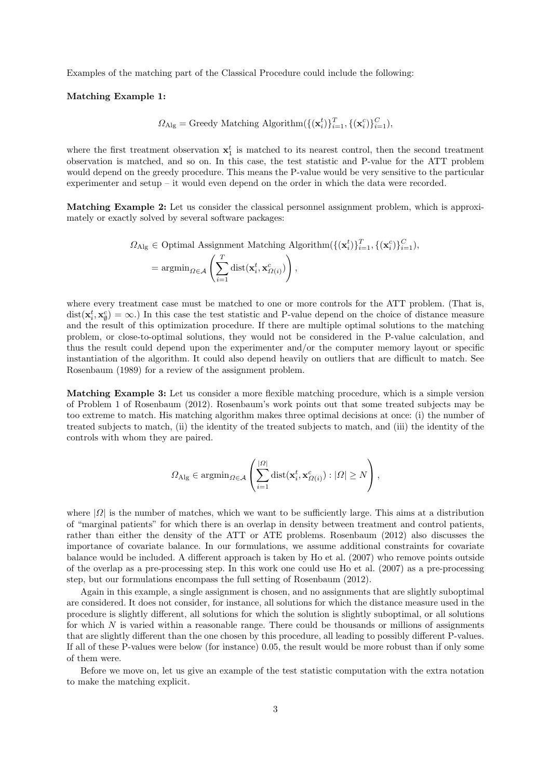Examples of the matching part of the Classical Procedure could include the following:

# Matching Example 1:

$$
\Omega_{\mathrm{Alg}} = \mathrm{Greedy}\ \mathrm{Matching}\ \mathrm{Algorithm}(\{(\mathbf{x}_i^t)\}_{i=1}^T, \{(\mathbf{x}_i^c)\}_{i=1}^C),
$$

where the first treatment observation  $x_1^t$  is matched to its nearest control, then the second treatment observation is matched, and so on. In this case, the test statistic and P-value for the ATT problem would depend on the greedy procedure. This means the P-value would be very sensitive to the particular experimenter and setup – it would even depend on the order in which the data were recorded.

Matching Example 2: Let us consider the classical personnel assignment problem, which is approximately or exactly solved by several software packages:

$$
\Omega_{\text{Alg}} \in \text{Optimal Assignment Matching Algorithm}(\{(\mathbf{x}_i^t)\}_{i=1}^T, \{(\mathbf{x}_i^c)\}_{i=1}^C),
$$
\n
$$
= \operatorname{argmin}_{\Omega \in \mathcal{A}} \left( \sum_{i=1}^T \operatorname{dist}(\mathbf{x}_i^t, \mathbf{x}_{\Omega(i)}^c) \right),
$$

where every treatment case must be matched to one or more controls for the ATT problem. (That is,  $dist(\mathbf{x}_i^t, \mathbf{x}_j^c) = \infty.$  In this case the test statistic and P-value depend on the choice of distance measure and the result of this optimization procedure. If there are multiple optimal solutions to the matching problem, or close-to-optimal solutions, they would not be considered in the P-value calculation, and thus the result could depend upon the experimenter and/or the computer memory layout or specific instantiation of the algorithm. It could also depend heavily on outliers that are difficult to match. See Rosenbaum (1989) for a review of the assignment problem.

Matching Example 3: Let us consider a more flexible matching procedure, which is a simple version of Problem 1 of Rosenbaum (2012). Rosenbaum's work points out that some treated subjects may be too extreme to match. His matching algorithm makes three optimal decisions at once: (i) the number of treated subjects to match, (ii) the identity of the treated subjects to match, and (iii) the identity of the controls with whom they are paired.

$$
\Omega_{\mathrm{Alg}} \in \mathrm{argmin}_{\Omega \in \mathcal{A}} \left( \sum_{i=1}^{|\Omega|} \mathrm{dist}(\mathbf{x}_i^t, \mathbf{x}_{\Omega(i)}^c) : |\Omega| \ge N \right),
$$

where  $|\Omega|$  is the number of matches, which we want to be sufficiently large. This aims at a distribution of "marginal patients" for which there is an overlap in density between treatment and control patients, rather than either the density of the ATT or ATE problems. Rosenbaum (2012) also discusses the importance of covariate balance. In our formulations, we assume additional constraints for covariate balance would be included. A different approach is taken by Ho et al. (2007) who remove points outside of the overlap as a pre-processing step. In this work one could use Ho et al. (2007) as a pre-processing step, but our formulations encompass the full setting of Rosenbaum (2012).

Again in this example, a single assignment is chosen, and no assignments that are slightly suboptimal are considered. It does not consider, for instance, all solutions for which the distance measure used in the procedure is slightly different, all solutions for which the solution is slightly suboptimal, or all solutions for which N is varied within a reasonable range. There could be thousands or millions of assignments that are slightly different than the one chosen by this procedure, all leading to possibly different P-values. If all of these P-values were below (for instance) 0.05, the result would be more robust than if only some of them were.

Before we move on, let us give an example of the test statistic computation with the extra notation to make the matching explicit.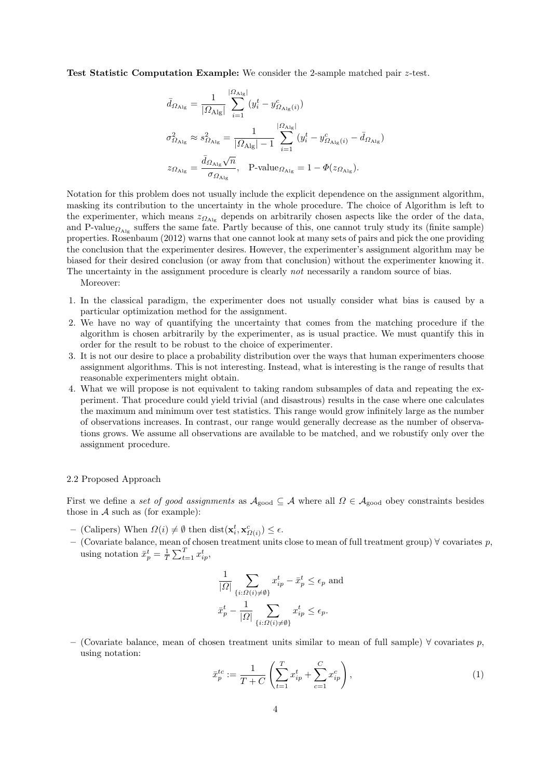Test Statistic Computation Example: We consider the 2-sample matched pair z-test.

$$
\begin{aligned} \bar{d}_{\Omega_{\mathrm{Alg}}} &= \frac{1}{|\Omega_{\mathrm{Alg}}|} \sum_{i=1}^{|\Omega_{\mathrm{Alg}}|} (y_i^t - y_{\Omega_{\mathrm{Alg}}(i)}^c) \\ \sigma_{\Omega_{\mathrm{Alg}}}^2 &\approx s_{\Omega_{\mathrm{Alg}}}^2 = \frac{1}{|\Omega_{\mathrm{Alg}}| - 1} \sum_{i=1}^{|\Omega_{\mathrm{Alg}}|} (y_i^t - y_{\Omega_{\mathrm{Alg}}(i)}^c - \bar{d}_{\Omega_{\mathrm{Alg}}}) \\ z_{\Omega_{\mathrm{Alg}}} &= \frac{\bar{d}_{\Omega_{\mathrm{Alg}}}\sqrt{n}}{\sigma_{\Omega_{\mathrm{Alg}}}}, \quad \text{P-value}_{\Omega_{\mathrm{Alg}}} = 1 - \varPhi(z_{\Omega_{\mathrm{Alg}}}). \end{aligned}
$$

Notation for this problem does not usually include the explicit dependence on the assignment algorithm, masking its contribution to the uncertainty in the whole procedure. The choice of Algorithm is left to the experimenter, which means  $z_{\Omega_{\text{Alg}}}$  depends on arbitrarily chosen aspects like the order of the data, and P-value<sub> $\Omega_{Alg}$ </sub> suffers the same fate. Partly because of this, one cannot truly study its (finite sample) properties. Rosenbaum (2012) warns that one cannot look at many sets of pairs and pick the one providing the conclusion that the experimenter desires. However, the experimenter's assignment algorithm may be biased for their desired conclusion (or away from that conclusion) without the experimenter knowing it. The uncertainty in the assignment procedure is clearly *not* necessarily a random source of bias.

Moreover:

- 1. In the classical paradigm, the experimenter does not usually consider what bias is caused by a particular optimization method for the assignment.
- 2. We have no way of quantifying the uncertainty that comes from the matching procedure if the algorithm is chosen arbitrarily by the experimenter, as is usual practice. We must quantify this in order for the result to be robust to the choice of experimenter.
- 3. It is not our desire to place a probability distribution over the ways that human experimenters choose assignment algorithms. This is not interesting. Instead, what is interesting is the range of results that reasonable experimenters might obtain.
- 4. What we will propose is not equivalent to taking random subsamples of data and repeating the experiment. That procedure could yield trivial (and disastrous) results in the case where one calculates the maximum and minimum over test statistics. This range would grow infinitely large as the number of observations increases. In contrast, our range would generally decrease as the number of observations grows. We assume all observations are available to be matched, and we robustify only over the assignment procedure.

# 2.2 Proposed Approach

First we define a set of good assignments as  $A_{\text{good}} \subseteq A$  where all  $\Omega \in A_{\text{good}}$  obey constraints besides those in  $A$  such as (for example):

- (Calipers) When  $\Omega(i) \neq \emptyset$  then  $dist(\mathbf{x}_i^t, \mathbf{x}_{\Omega(i)}^c) \leq \epsilon$ .
- (Covariate balance, mean of chosen treatment units close to mean of full treatment group) ∀ covariates p, using notation  $\bar{x}_p^t = \frac{1}{T} \sum_{t=1}^T x_{ip}^t$ ,

$$
\frac{1}{|Q|} \sum_{\{i:\Omega(i)\neq\emptyset\}} x_{ip}^t - \bar{x}_p^t \le \epsilon_p \text{ and}
$$
  

$$
\bar{x}_p^t - \frac{1}{|Q|} \sum_{\{i:\Omega(i)\neq\emptyset\}} x_{ip}^t \le \epsilon_p.
$$

– (Covariate balance, mean of chosen treatment units similar to mean of full sample) ∀ covariates p, using notation:

$$
\bar{x}_p^{tc} := \frac{1}{T+C} \left( \sum_{t=1}^T x_{ip}^t + \sum_{c=1}^C x_{ip}^c \right),\tag{1}
$$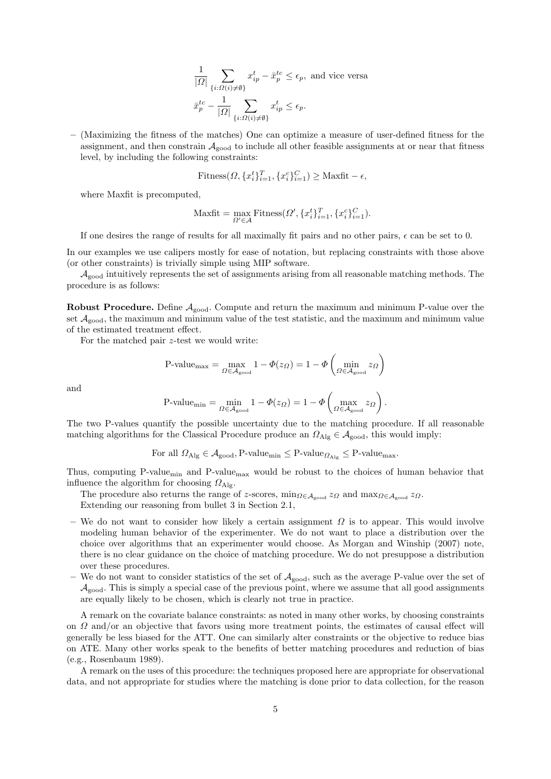$$
\frac{1}{|\Omega|} \sum_{\{i:\Omega(i)\neq\emptyset\}} x_{ip}^t - \bar{x}_p^{tc} \le \epsilon_p
$$
, and vice versa  

$$
\bar{x}_p^{tc} - \frac{1}{|\Omega|} \sum_{\{i:\Omega(i)\neq\emptyset\}} x_{ip}^t \le \epsilon_p.
$$

– (Maximizing the fitness of the matches) One can optimize a measure of user-defined fitness for the assignment, and then constrain  $A_{\text{good}}$  to include all other feasible assignments at or near that fitness level, by including the following constraints:

$$
\text{Fitness}(\Omega, \{x_i^t\}_{i=1}^T, \{x_i^c\}_{i=1}^C) \ge \text{Maxfit} - \epsilon,
$$

where Maxfit is precomputed,

$$
\text{Maxfit} = \max_{\Omega' \in \mathcal{A}} \text{Fitness}(\Omega', \{x_i^t\}_{i=1}^T, \{x_i^c\}_{i=1}^C).
$$

If one desires the range of results for all maximally fit pairs and no other pairs,  $\epsilon$  can be set to 0.

In our examples we use calipers mostly for ease of notation, but replacing constraints with those above (or other constraints) is trivially simple using MIP software.

 $\mathcal{A}_{\text{good}}$  intuitively represents the set of assignments arising from all reasonable matching methods. The procedure is as follows:

**Robust Procedure.** Define  $A_{good}$ . Compute and return the maximum and minimum P-value over the set  $\mathcal{A}_{\text{good}}$ , the maximum and minimum value of the test statistic, and the maximum and minimum value of the estimated treatment effect.

For the matched pair z-test we would write:

$$
\text{P-value}_{\text{max}} = \max_{\Omega \in \mathcal{A}_{\text{good}}} 1 - \Phi(z_{\Omega}) = 1 - \Phi\left(\min_{\Omega \in \mathcal{A}_{\text{good}}} z_{\Omega}\right)
$$

and

$$
\text{P-value}_{\min} = \min_{\Omega \in \mathcal{A}_{\text{good}}} 1 - \Phi(z_{\Omega}) = 1 - \Phi\left(\max_{\Omega \in \mathcal{A}_{\text{good}}} z_{\Omega}\right).
$$

The two P-values quantify the possible uncertainty due to the matching procedure. If all reasonable matching algorithms for the Classical Procedure produce an  $\Omega_{\text{Alg}} \in \mathcal{A}_{\text{good}}$ , this would imply:

For all  $\Omega_{\text{Alg}} \in \mathcal{A}_{\text{good}}$ , P-value<sub>min</sub>  $\leq$  P-value<sub> $\Omega_{\text{Alg}} \leq$  P-value<sub>max</sub>.</sub>

Thus, computing P-value<sub>min</sub> and P-value<sub>max</sub> would be robust to the choices of human behavior that influence the algorithm for choosing  $\Omega_{\text{Alg}}$ .

The procedure also returns the range of z-scores,  $\min_{\Omega \in A_{\text{good}}} z_{\Omega}$  and  $\max_{\Omega \in A_{\text{good}}} z_{\Omega}$ . Extending our reasoning from bullet 3 in Section 2.1,

- We do not want to consider how likely a certain assignment  $\Omega$  is to appear. This would involve modeling human behavior of the experimenter. We do not want to place a distribution over the choice over algorithms that an experimenter would choose. As Morgan and Winship (2007) note, there is no clear guidance on the choice of matching procedure. We do not presuppose a distribution over these procedures.
- We do not want to consider statistics of the set of  $A_{\text{good}}$ , such as the average P-value over the set of  $\mathcal{A}_{\text{good}}$ . This is simply a special case of the previous point, where we assume that all good assignments are equally likely to be chosen, which is clearly not true in practice.

A remark on the covariate balance constraints: as noted in many other works, by choosing constraints on  $\Omega$  and/or an objective that favors using more treatment points, the estimates of causal effect will generally be less biased for the ATT. One can similarly alter constraints or the objective to reduce bias on ATE. Many other works speak to the benefits of better matching procedures and reduction of bias (e.g., Rosenbaum 1989).

A remark on the uses of this procedure: the techniques proposed here are appropriate for observational data, and not appropriate for studies where the matching is done prior to data collection, for the reason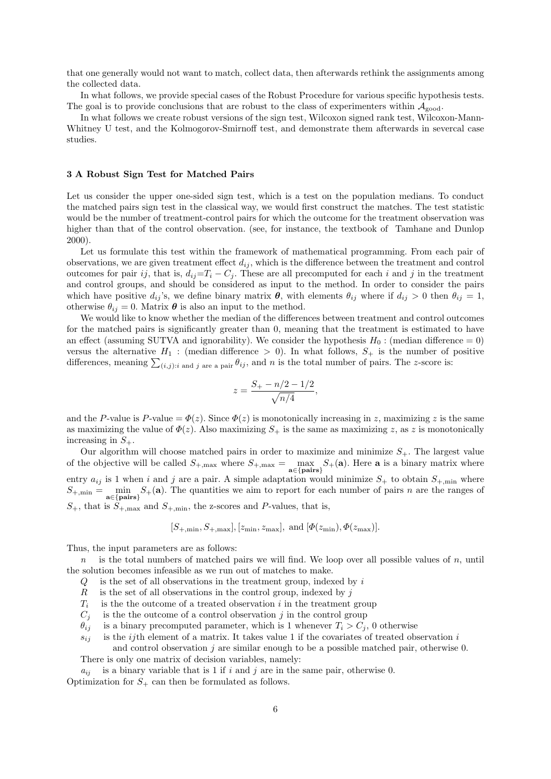that one generally would not want to match, collect data, then afterwards rethink the assignments among the collected data.

In what follows, we provide special cases of the Robust Procedure for various specific hypothesis tests. The goal is to provide conclusions that are robust to the class of experimenters within  $A_{\text{good}}$ .

In what follows we create robust versions of the sign test, Wilcoxon signed rank test, Wilcoxon-Mann-Whitney U test, and the Kolmogorov-Smirnoff test, and demonstrate them afterwards in severcal case studies.

# 3 A Robust Sign Test for Matched Pairs

Let us consider the upper one-sided sign test, which is a test on the population medians. To conduct the matched pairs sign test in the classical way, we would first construct the matches. The test statistic would be the number of treatment-control pairs for which the outcome for the treatment observation was higher than that of the control observation. (see, for instance, the textbook of Tamhane and Dunlop 2000).

Let us formulate this test within the framework of mathematical programming. From each pair of observations, we are given treatment effect  $d_{ij}$ , which is the difference between the treatment and control outcomes for pair ij, that is,  $d_{ij}=T_i-C_j$ . These are all precomputed for each i and j in the treatment and control groups, and should be considered as input to the method. In order to consider the pairs which have positive  $d_{ij}$ 's, we define binary matrix  $\theta$ , with elements  $\theta_{ij}$  where if  $d_{ij} > 0$  then  $\theta_{ij} = 1$ , otherwise  $\theta_{ij} = 0$ . Matrix  $\boldsymbol{\theta}$  is also an input to the method.

We would like to know whether the median of the differences between treatment and control outcomes for the matched pairs is significantly greater than 0, meaning that the treatment is estimated to have an effect (assuming SUTVA and ignorability). We consider the hypothesis  $H_0$ : (median difference = 0) versus the alternative  $H_1$ : (median difference > 0). In what follows,  $S_+$  is the number of positive differences, meaning  $\sum_{(i,j):i \text{ and } j \text{ are a pair}} \theta_{ij}$ , and n is the total number of pairs. The z-score is:

$$
z = \frac{S_+ - n/2 - 1/2}{\sqrt{n/4}},
$$

and the P-value is P-value =  $\Phi(z)$ . Since  $\Phi(z)$  is monotonically increasing in z, maximizing z is the same as maximizing the value of  $\Phi(z)$ . Also maximizing  $S_+$  is the same as maximizing z, as z is monotonically increasing in  $S_{+}$ .

Our algorithm will choose matched pairs in order to maximize and minimize  $S_{+}$ . The largest value of the objective will be called  $S_{+,\text{max}}$  where  $S_{+,\text{max}} = \max_{\mathbf{a} \in \{\text{pairs}\}} S_{+}(\mathbf{a})$ . Here  $\mathbf{a}$  is a binary matrix where entry  $a_{ij}$  is 1 when i and j are a pair. A simple adaptation would minimize  $S_+$  to obtain  $S_{+,\text{min}}$  where  $S_{+,\text{min}} = \min_{\mathbf{a} \in \{\text{pairs}\}} S_{+}(\mathbf{a}).$  The quantities we aim to report for each number of pairs n are the ranges of  $S_{+}$ , that is  $S_{+,\text{max}}$  and  $S_{+,\text{min}}$ , the z-scores and P-values, that is,

$$
[S_{+,\min}, S_{+,\max}], [z_{\min}, z_{\max}], \text{ and } [\Phi(z_{\min}), \Phi(z_{\max})].
$$

Thus, the input parameters are as follows:

 $n$  is the total numbers of matched pairs we will find. We loop over all possible values of  $n$ , until the solution becomes infeasible as we run out of matches to make.

- $Q$  is the set of all observations in the treatment group, indexed by i
- $R$  is the set of all observations in the control group, indexed by j
- $T_i$ is the the outcome of a treated observation  $i$  in the treatment group
- $C_i$  is the the outcome of a control observation j in the control group
- $\theta_{ij}$  is a binary precomputed parameter, which is 1 whenever  $T_i > C_j$ , 0 otherwise
- $s_{ii}$  is the *ij*th element of a matrix. It takes value 1 if the covariates of treated observation *i*

and control observation  $j$  are similar enough to be a possible matched pair, otherwise 0. There is only one matrix of decision variables, namely:

 $a_{ij}$  is a binary variable that is 1 if i and j are in the same pair, otherwise 0. Optimization for  $S_+$  can then be formulated as follows.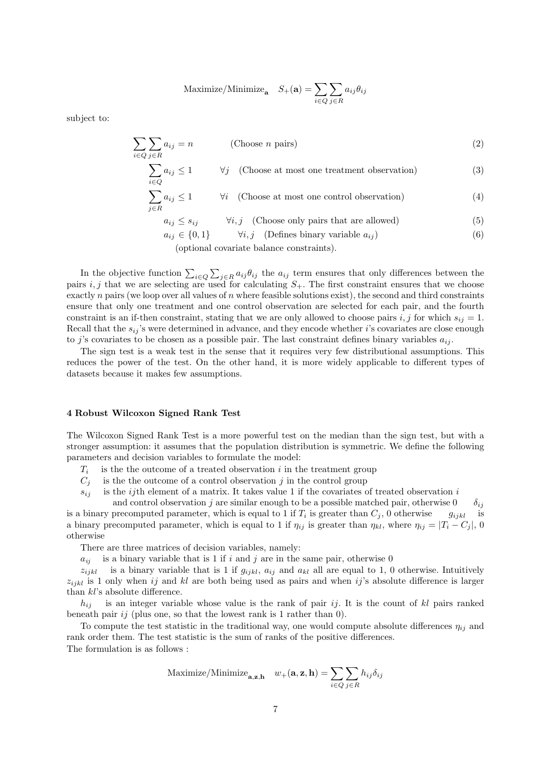Maximize/Minimize<sub>**a**</sub> 
$$
S_+(\mathbf{a}) = \sum_{i \in Q} \sum_{j \in R} a_{ij} \theta_{ij}
$$

subject to:

$$
\sum_{i \in Q} \sum_{j \in R} a_{ij} = n
$$
 (Choose *n* pairs) (2)  
\n
$$
\sum_{i \in Q} a_{ij} \le 1
$$
  $\forall j$  (Choose at most one treatment observation) (3)  
\n
$$
\sum_{j \in R} a_{ij} \le 1
$$
  $\forall i$  (Choose at most one control observation) (4)  
\n
$$
a_{ij} \le s_{ij}
$$
  $\forall i, j$  (Choose only pairs that are allowed) (5)  
\n
$$
a_{ij} \in \{0, 1\}
$$
  $\forall i, j$  (Defines binary variable  $a_{ij}$ ) (6)

(optional covariate balance constraints).

In the objective function  $\sum_{i\in Q}\sum_{j\in R}a_{ij}\theta_{ij}$  the  $a_{ij}$  term ensures that only differences between the pairs i, j that we are selecting are used for calculating  $S_{+}$ . The first constraint ensures that we choose exactly n pairs (we loop over all values of n where feasible solutions exist), the second and third constraints ensure that only one treatment and one control observation are selected for each pair, and the fourth constraint is an if-then constraint, stating that we are only allowed to choose pairs i, j for which  $s_{ij} = 1$ . Recall that the  $s_{ij}$ 's were determined in advance, and they encode whether i's covariates are close enough to j's covariates to be chosen as a possible pair. The last constraint defines binary variables  $a_{ij}$ .

The sign test is a weak test in the sense that it requires very few distributional assumptions. This reduces the power of the test. On the other hand, it is more widely applicable to different types of datasets because it makes few assumptions.

# 4 Robust Wilcoxon Signed Rank Test

The Wilcoxon Signed Rank Test is a more powerful test on the median than the sign test, but with a stronger assumption: it assumes that the population distribution is symmetric. We define the following parameters and decision variables to formulate the model:

- $T_i$ is the the outcome of a treated observation  $i$  in the treatment group
- $C_i$  is the the outcome of a control observation j in the control group
- $s_{ij}$  is the *ij*th element of a matrix. It takes value 1 if the covariates of treated observation i

and control observation j are similar enough to be a possible matched pair, otherwise  $0 \delta_{ij}$ is a binary precomputed parameter, which is equal to 1 if  $T_i$  is greater than  $C_j$ , 0 otherwise  $g_{ijkl}$  is a binary precomputed parameter, which is equal to 1 if  $\eta_{ij}$  is greater than  $\eta_{kl}$ , where  $\eta_{ij} = |T_i - C_j|$ , 0 otherwise

There are three matrices of decision variables, namely:

 $a_{ij}$  is a binary variable that is 1 if i and j are in the same pair, otherwise 0

 $z_{ijkl}$  is a binary variable that is 1 if  $g_{ijkl}$ ,  $a_{ij}$  and  $a_{kl}$  all are equal to 1, 0 otherwise. Intuitively  $z_{ijkl}$  is 1 only when ij and kl are both being used as pairs and when ij's absolute difference is larger than kl's absolute difference.

 $h_{ij}$  is an integer variable whose value is the rank of pair ij. It is the count of kl pairs ranked beneath pair ij (plus one, so that the lowest rank is 1 rather than  $0$ ).

To compute the test statistic in the traditional way, one would compute absolute differences  $\eta_{ij}$  and rank order them. The test statistic is the sum of ranks of the positive differences. The formulation is as follows :

Maximize/Minimize<sub>**a,z,h**</sub> 
$$
w_{+}(\mathbf{a}, \mathbf{z}, \mathbf{h}) = \sum_{i \in Q} \sum_{j \in R} h_{ij} \delta_{ij}
$$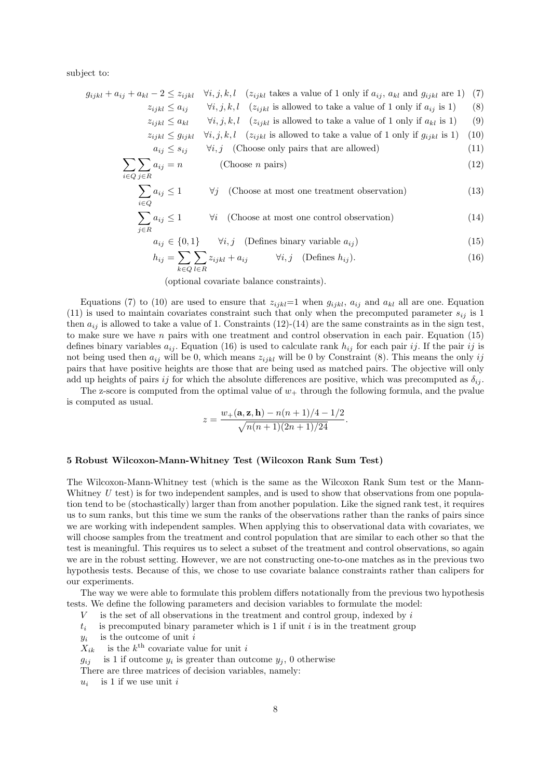subject to:

 $\sum$ i∈Q

 $\sum$ j∈R

$$
g_{ijkl} + a_{ij} + a_{kl} - 2 \le z_{ijkl} \quad \forall i, j, k, l \quad (z_{ijkl} \text{ takes a value of 1 only if } a_{ij}, a_{kl} \text{ and } g_{ijkl} \text{ are 1}) \quad (7)
$$
\n
$$
z_{ijkl} \le a_{ij} \quad \forall i, j, k, l \quad (z_{ijkl} \text{ is allowed to take a value of 1 only if } a_{ij} \text{ is 1}) \quad (8)
$$
\n
$$
z_{ijkl} \le a_{kl} \quad \forall i, j, k, l \quad (z_{ijkl} \text{ is allowed to take a value of 1 only if } a_{kl} \text{ is 1}) \quad (9)
$$
\n
$$
z_{ijkl} \le g_{ijkl} \quad \forall i, j, k, l \quad (z_{ijkl} \text{ is allowed to take a value of 1 only if } g_{ijkl} \text{ is 1}) \quad (10)
$$
\n
$$
a_{ij} \le s_{ij} \quad \forall i, j \quad \text{(Choose only pairs that are allowed)} \quad (11)
$$

$$
a_{ij} = n \tag{12}
$$

$$
\sum_{i \in Q} a_{ij} \le 1 \qquad \forall j \quad \text{(Choose at most one treatment observation)} \tag{13}
$$

$$
\sum_{j \in R} a_{ij} \le 1 \qquad \forall i \quad \text{(Choose at most one control observation)} \tag{14}
$$

$$
a_{ij} \in \{0, 1\} \qquad \forall i, j \quad \text{(Defines binary variable } a_{ij}) \tag{15}
$$

$$
h_{ij} = \sum_{k \in Q} \sum_{l \in R} z_{ijkl} + a_{ij} \qquad \forall i, j \quad \text{(Defines } h_{ij}\text{)}.
$$
\n
$$
(16)
$$

(optional covariate balance constraints).

Equations (7) to (10) are used to ensure that  $z_{ijkl}=1$  when  $g_{ijkl}$ ,  $a_{ij}$  and  $a_{kl}$  all are one. Equation (11) is used to maintain covariates constraint such that only when the precomputed parameter  $s_{ij}$  is 1 then  $a_{ij}$  is allowed to take a value of 1. Constraints (12)-(14) are the same constraints as in the sign test, to make sure we have  $n$  pairs with one treatment and control observation in each pair. Equation (15) defines binary variables  $a_{ij}$ . Equation (16) is used to calculate rank  $h_{ij}$  for each pair ij. If the pair ij is not being used then  $a_{ij}$  will be 0, which means  $z_{ijkl}$  will be 0 by Constraint (8). This means the only ij pairs that have positive heights are those that are being used as matched pairs. The objective will only add up heights of pairs ij for which the absolute differences are positive, which was precomputed as  $\delta_{ij}$ .

The z-score is computed from the optimal value of  $w_+$  through the following formula, and the pvalue is computed as usual.

$$
z = \frac{w_+(\mathbf{a}, \mathbf{z}, \mathbf{h}) - n(n+1)/4 - 1/2}{\sqrt{n(n+1)(2n+1)/24}}.
$$

# 5 Robust Wilcoxon-Mann-Whitney Test (Wilcoxon Rank Sum Test)

The Wilcoxon-Mann-Whitney test (which is the same as the Wilcoxon Rank Sum test or the Mann-Whitney  $U$  test) is for two independent samples, and is used to show that observations from one population tend to be (stochastically) larger than from another population. Like the signed rank test, it requires us to sum ranks, but this time we sum the ranks of the observations rather than the ranks of pairs since we are working with independent samples. When applying this to observational data with covariates, we will choose samples from the treatment and control population that are similar to each other so that the test is meaningful. This requires us to select a subset of the treatment and control observations, so again we are in the robust setting. However, we are not constructing one-to-one matches as in the previous two hypothesis tests. Because of this, we chose to use covariate balance constraints rather than calipers for our experiments.

The way we were able to formulate this problem differs notationally from the previous two hypothesis tests. We define the following parameters and decision variables to formulate the model:

- $V$  is the set of all observations in the treatment and control group, indexed by i
- $t_i$ is precomputed binary parameter which is 1 if unit  $i$  is in the treatment group
- $y_i$ is the outcome of unit  $i$
- $X_{ik}$  is the  $k^{\text{th}}$  covariate value for unit i
- $g_{ij}$  is 1 if outcome  $y_i$  is greater than outcome  $y_j$ , 0 otherwise

There are three matrices of decision variables, namely:

 $u_i$ is 1 if we use unit  $i$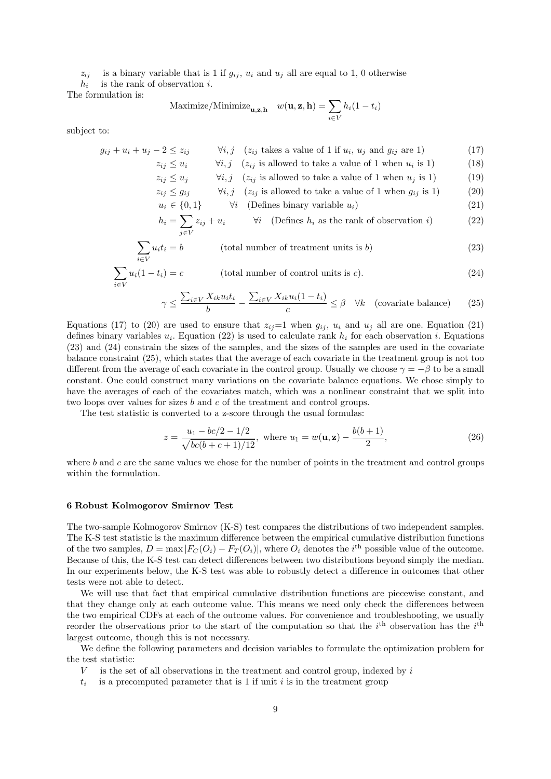$z_{ij}$  is a binary variable that is 1 if  $g_{ij}$ ,  $u_i$  and  $u_j$  all are equal to 1, 0 otherwise  $h_i$ is the rank of observation  $i$ .

The formulation is:

$$
\text{Maximize/Minimize}_{\mathbf{u}, \mathbf{z}, \mathbf{h}} \quad w(\mathbf{u}, \mathbf{z}, \mathbf{h}) = \sum_{i \in V} h_i (1 - t_i)
$$

subject to:

$$
g_{ij} + u_i + u_j - 2 \le z_{ij}
$$
  $\forall i, j \ (z_{ij} \text{ takes a value of 1 if } u_i, u_j \text{ and } g_{ij} \text{ are 1})$  (17)  
 $z_i \le u_j$   $\forall i, j \ (z_{ij} \text{ is allowed to take a value of 1 when } u_j \text{ is 1})$  (18)

$$
z_{ij} \geq u_i
$$
  $\forall i, j \quad (z_{ij} \text{ is allowed to take a value of 1 when } u_i \text{ is 1})$  (10)

$$
z_{ij} \le u_j
$$
  $\forall i, j \ (z_{ij} \text{ is allowed to take a value of 1 when } u_j \text{ is 1})$  (19)  
 $z_{ij} \le a_{ij}$   $\forall i, i \ (z_{ij} \text{ is allowed to take a value of 1 when } a_{ij} \text{ is 1})$  (20)

$$
z_{ij} \le g_{ij} \qquad \forall i, j \quad (z_{ij} \text{ is allowed to take a value of 1 when } g_{ij} \text{ is 1)}
$$
\n
$$
u_i \in \{0, 1\} \qquad \forall i \quad \text{(Defines binary variable } u_i \text{)} \tag{21}
$$

$$
h_i = \sum_{j \in V} z_{ij} + u_i \qquad \forall i \quad \text{(Defines } h_i \text{ as the rank of observation } i)
$$
 (22)

$$
\sum_{i \in V} u_i t_i = b \qquad \qquad \text{(total number of treatment units is } b\text{)} \tag{23}
$$

$$
\sum_{i \in V} u_i (1 - t_i) = c \qquad \qquad \text{(total number of control units is } c). \tag{24}
$$

$$
\gamma \le \frac{\sum_{i \in V} X_{ik} u_i t_i}{b} - \frac{\sum_{i \in V} X_{ik} u_i (1 - t_i)}{c} \le \beta \quad \forall k \quad \text{(covariate balance)} \tag{25}
$$

Equations (17) to (20) are used to ensure that  $z_{ij}=1$  when  $g_{ij}$ ,  $u_i$  and  $u_j$  all are one. Equation (21) defines binary variables  $u_i$ . Equation (22) is used to calculate rank  $h_i$  for each observation i. Equations (23) and (24) constrain the sizes of the samples, and the sizes of the samples are used in the covariate balance constraint (25), which states that the average of each covariate in the treatment group is not too different from the average of each covariate in the control group. Usually we choose  $\gamma = -\beta$  to be a small constant. One could construct many variations on the covariate balance equations. We chose simply to have the averages of each of the covariates match, which was a nonlinear constraint that we split into two loops over values for sizes b and c of the treatment and control groups.

The test statistic is converted to a z-score through the usual formulas:

$$
z = \frac{u_1 - bc/2 - 1/2}{\sqrt{bc(b + c + 1)/12}}, \text{ where } u_1 = w(\mathbf{u}, \mathbf{z}) - \frac{b(b+1)}{2}, \tag{26}
$$

where  $b$  and  $c$  are the same values we chose for the number of points in the treatment and control groups within the formulation.

### 6 Robust Kolmogorov Smirnov Test

The two-sample Kolmogorov Smirnov (K-S) test compares the distributions of two independent samples. The K-S test statistic is the maximum difference between the empirical cumulative distribution functions of the two samples,  $D = \max |F_C(O_i) - F_T(O_i)|)$ , where  $O_i$  denotes the *i*<sup>th</sup> possible value of the outcome. Because of this, the K-S test can detect differences between two distributions beyond simply the median. In our experiments below, the K-S test was able to robustly detect a difference in outcomes that other tests were not able to detect.

We will use that fact that empirical cumulative distribution functions are piecewise constant, and that they change only at each outcome value. This means we need only check the differences between the two empirical CDFs at each of the outcome values. For convenience and troubleshooting, we usually reorder the observations prior to the start of the computation so that the  $i<sup>th</sup>$  observation has the  $i<sup>th</sup>$ largest outcome, though this is not necessary.

We define the following parameters and decision variables to formulate the optimization problem for the test statistic:

- $V$  is the set of all observations in the treatment and control group, indexed by  $i$
- $t_i$  is a precomputed parameter that is 1 if unit i is in the treatment group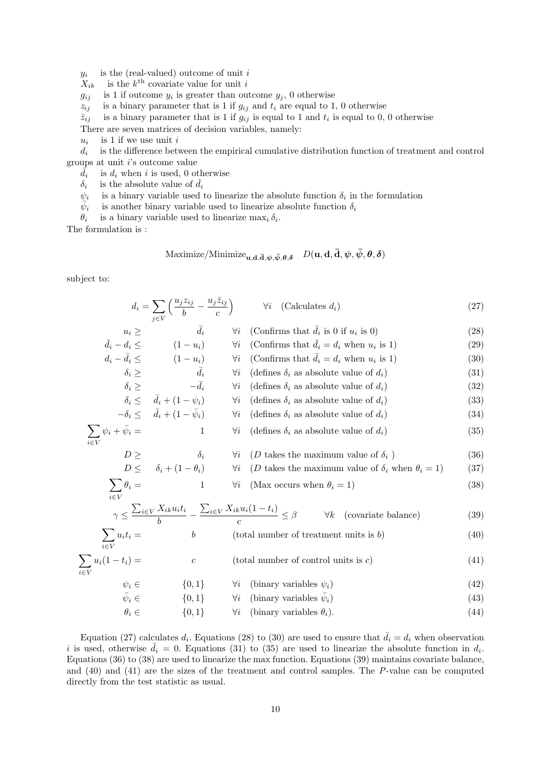$y_i$ is the (real-valued) outcome of unit i

 $X_{ik}$  is the  $k^{\text{th}}$  covariate value for unit i

 $g_{ij}$  is 1 if outcome  $y_i$  is greater than outcome  $y_j$ , 0 otherwise

 $z_{ij}$  is a binary parameter that is 1 if  $g_{ij}$  and  $t_i$  are equal to 1, 0 otherwise

 $\bar{z}_{ij}$  is a binary parameter that is 1 if  $g_{ij}$  is equal to 1 and  $t_i$  is equal to 0, 0 otherwise

There are seven matrices of decision variables, namely:

 $u_i$ is 1 if we use unit  $i$ 

 $d_i$ is the difference between the empirical cumulative distribution function of treatment and control groups at unit  $i$ 's outcome value

 $d_i$ is  $d_i$  when i is used, 0 otherwise

 $\delta_i$  is the absolute value of  $\bar{d}_i$ 

 $\psi_i$  is a binary variable used to linearize the absolute function  $\delta_i$  in the formulation

 $\bar{\psi}_i$  is another binary variable used to linearize absolute function  $\delta_i$ 

 $\theta_i$ is a binary variable used to linearize  $\max_i \delta_i$ .

The formulation is :

 $\sum$ i∈V

$$
\text{Maximize}/\text{Minimize}_{\mathbf{u},\mathbf{d},\mathbf{\bar{d}},\boldsymbol{\psi},\boldsymbol{\bar{\psi}},\boldsymbol{\theta},\boldsymbol{\delta}} \quad D(\mathbf{u},\mathbf{d},\mathbf{\bar{d}},\boldsymbol{\psi},\boldsymbol{\bar{\psi}},\boldsymbol{\theta},\boldsymbol{\delta})
$$

subject to:

$$
d_i = \sum_{j \in V} \left( \frac{u_j z_{ij}}{b} - \frac{u_j \bar{z}_{ij}}{c} \right) \qquad \forall i \quad (\text{Calculates } d_i)
$$
 (27)

$$
u_i \geq \qquad \bar{d}_i \qquad \forall i \quad \text{(Con firms that } \bar{d}_i \text{ is 0 if } u_i \text{ is 0)} \tag{28}
$$
\n
$$
\bar{d}_i - d_i \leq \qquad (1 - u_i) \qquad \forall i \quad \text{(Con firms that } \bar{d}_i = d_i \text{ when } u_i \text{ is 1)} \tag{29}
$$

$$
d_i - \bar{d}_i \leq \qquad (1 - u_i) \qquad \forall i \qquad \text{(Continuous that } \bar{d}_i = d_i \text{ when } u_i \text{ is 1)} \tag{29}
$$
\n
$$
d_i - \bar{d}_i \leq \qquad (1 - u_i) \qquad \forall i \qquad \text{(Confirms that } \bar{d}_i = d_i \text{ when } u_i \text{ is 1)} \tag{30}
$$

$$
\delta_i \geq \qquad \qquad \bar{d}_i \qquad \qquad \forall i \quad (\text{defines } \delta_i \text{ as absolute value of } d_i) \tag{31}
$$

$$
\delta_i \geq -\bar{d}_i \qquad \forall i \quad (\text{defines } \delta_i \text{ as absolute value of } d_i)
$$
 (32)

- $\delta_i \leq \bar{d}_i + (1 \psi_i)$   $\forall i$  (defines  $\delta_i$  as absolute value of  $d_i$ ) (33)  $-\delta_i \leq \bar{d}_i + (1 - \bar{\psi}_i)$ 
	- $\forall i$  (defines  $\delta_i$  as absolute value of  $d_i$ ) (34)

$$
\sum_{i \in V} \psi_i + \bar{\psi}_i = 1 \qquad \forall i \quad (\text{defines } \delta_i \text{ as absolute value of } d_i)
$$
 (35)

$$
D \geq \qquad \delta_i \qquad \forall i \quad (D \text{ takes the maximum value of } \delta_i)
$$
\n
$$
D \leq \qquad \delta_i + (1 - \theta_i) \qquad \forall i \quad (D \text{ takes the maximum value of } \delta_i \text{ when } \theta_i = 1)
$$
\n
$$
(36)
$$
\n
$$
(37)
$$

$$
v \qquad (D \text{ takes the maximum value of } v_i \text{ which } v_i = 1) \tag{91}
$$

$$
\theta_i = 1 \qquad \forall i \quad (\text{Max occurs when } \theta_i = 1) \tag{38}
$$

$$
\gamma \le \frac{\sum_{i \in V} X_{ik} u_i t_i}{b} - \frac{\sum_{i \in V} X_{ik} u_i (1 - t_i)}{c} \le \beta \qquad \forall k \quad \text{(covariate balance)}\tag{39}
$$

$$
\sum_{i \in V} u_i t_i = b \qquad \qquad (total number of treatment units is b)
$$
 (40)

$$
\sum_{i \in V} u_i (1 - t_i) = c \qquad \qquad \text{(total number of control units is } c)
$$
\n
$$
\tag{41}
$$

$$
\psi_i \in \{0, 1\} \qquad \forall i \quad \text{(binary variables } \psi_i) \tag{42}
$$
\n
$$
\bar{\psi}_i \in \{0, 1\} \qquad \forall i \quad \text{(binary variables } \bar{\psi}_i) \tag{43}
$$

$$
\psi_i \in \{0, 1\} \qquad \forall i \quad \text{(binary variables } \psi_i) \tag{43}
$$
\n
$$
\theta \in \{0, 1\} \qquad \forall i \quad \text{(binary variables } \theta_i) \tag{44}
$$

$$
\theta_i \in \{0, 1\} \qquad \forall i \quad \text{(binary variables } \theta_i). \tag{44}
$$

Equation (27) calculates  $d_i$ . Equations (28) to (30) are used to ensure that  $\bar{d}_i = d_i$  when observation i is used, otherwise  $\bar{d}_i = 0$ . Equations (31) to (35) are used to linearize the absolute function in  $d_i$ . Equations (36) to (38) are used to linearize the max function. Equations (39) maintains covariate balance, and (40) and (41) are the sizes of the treatment and control samples. The P-value can be computed directly from the test statistic as usual.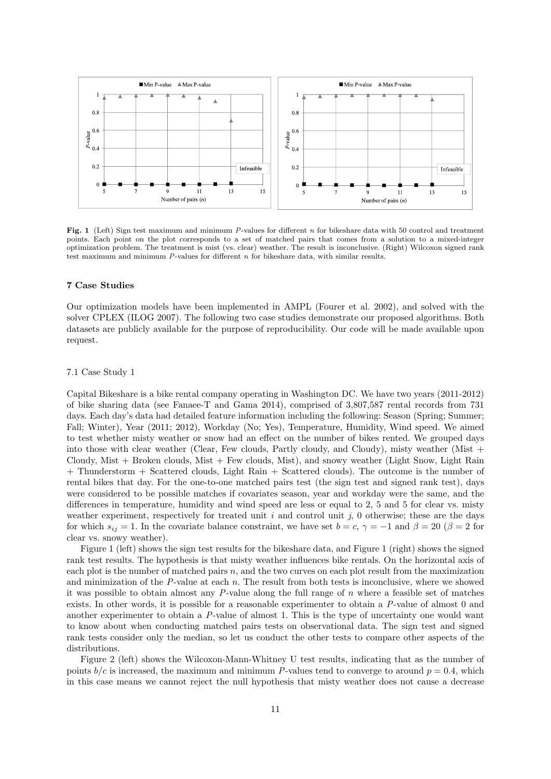

Fig. 1 (Left) Sign test maximum and minimum P-values for different n for bikeshare data with 50 control and treatment points. Each point on the plot corresponds to a set of matched pairs that comes from a solution to a mixed-integer optimization problem. The treatment is mist (vs. clear) weather. The result is inconclusive. (Right) Wilcoxon signed rank test maximum and minimum P-values for different n for bikeshare data, with similar results.

# 7 Case Studies

Our optimization models have been implemented in AMPL (Fourer et al. 2002), and solved with the solver CPLEX (ILOG 2007). The following two case studies demonstrate our proposed algorithms. Both datasets are publicly available for the purpose of reproducibility. Our code will be made available upon request.

# 7.1 Case Study 1

Capital Bikeshare is a bike rental company operating in Washington DC. We have two years (2011-2012) of bike sharing data (see Fanaee-T and Gama 2014), comprised of 3,807,587 rental records from 731 days. Each day's data had detailed feature information including the following: Season (Spring; Summer; Fall; Winter), Year (2011; 2012), Workday (No; Yes), Temperature, Humidity, Wind speed. We aimed to test whether misty weather or snow had an effect on the number of bikes rented. We grouped days into those with clear weather (Clear, Few clouds, Partly cloudy, and Cloudy), misty weather (Mist  $+$ Cloudy, Mist + Broken clouds, Mist + Few clouds, Mist), and snowy weather (Light Snow, Light Rain + Thunderstorm + Scattered clouds, Light Rain + Scattered clouds). The outcome is the number of rental bikes that day. For the one-to-one matched pairs test (the sign test and signed rank test), days were considered to be possible matches if covariates season, year and workday were the same, and the differences in temperature, humidity and wind speed are less or equal to 2, 5 and 5 for clear vs. misty weather experiment, respectively for treated unit  $i$  and control unit  $j$ , 0 otherwise; these are the days for which  $s_{ij} = 1$ . In the covariate balance constraint, we have set  $b = c, \gamma = -1$  and  $\beta = 20$  ( $\beta = 2$  for clear vs. snowy weather).

Figure 1 (left) shows the sign test results for the bikeshare data, and Figure 1 (right) shows the signed rank test results. The hypothesis is that misty weather influences bike rentals. On the horizontal axis of each plot is the number of matched pairs  $n$ , and the two curves on each plot result from the maximization and minimization of the  $P$ -value at each  $n$ . The result from both tests is inconclusive, where we showed it was possible to obtain almost any  $P$ -value along the full range of  $n$  where a feasible set of matches exists. In other words, it is possible for a reasonable experimenter to obtain a P-value of almost 0 and another experimenter to obtain a P-value of almost 1. This is the type of uncertainty one would want to know about when conducting matched pairs tests on observational data. The sign test and signed rank tests consider only the median, so let us conduct the other tests to compare other aspects of the distributions.

Figure 2 (left) shows the Wilcoxon-Mann-Whitney U test results, indicating that as the number of points  $b/c$  is increased, the maximum and minimum P-values tend to converge to around  $p = 0.4$ , which in this case means we cannot reject the null hypothesis that misty weather does not cause a decrease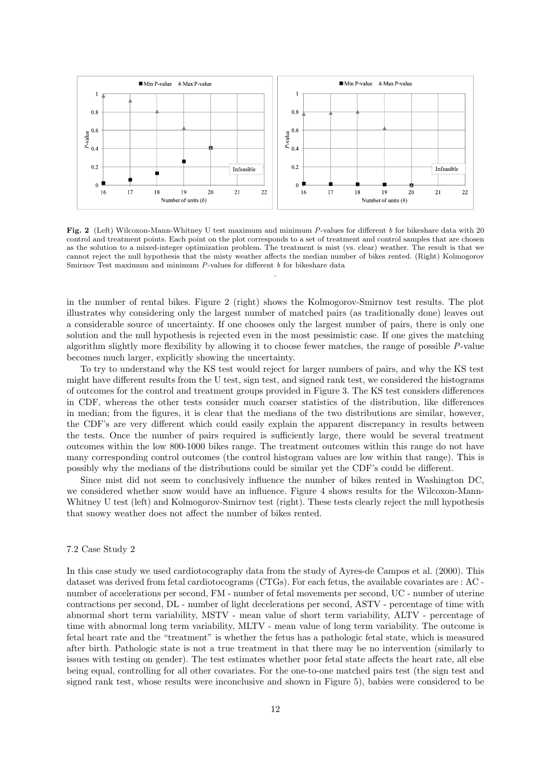

Fig. 2 (Left) Wilcoxon-Mann-Whitney U test maximum and minimum P-values for different b for bikeshare data with 20 control and treatment points. Each point on the plot corresponds to a set of treatment and control samples that are chosen as the solution to a mixed-integer optimization problem. The treatment is mist (vs. clear) weather. The result is that we cannot reject the null hypothesis that the misty weather affects the median number of bikes rented. (Right) Kolmogorov Smirnov Test maximum and minimum  $P$ -values for different  $b$  for bikeshare data

.

in the number of rental bikes. Figure 2 (right) shows the Kolmogorov-Smirnov test results. The plot illustrates why considering only the largest number of matched pairs (as traditionally done) leaves out a considerable source of uncertainty. If one chooses only the largest number of pairs, there is only one solution and the null hypothesis is rejected even in the most pessimistic case. If one gives the matching algorithm slightly more flexibility by allowing it to choose fewer matches, the range of possible P-value becomes much larger, explicitly showing the uncertainty.

To try to understand why the KS test would reject for larger numbers of pairs, and why the KS test might have different results from the U test, sign test, and signed rank test, we considered the histograms of outcomes for the control and treatment groups provided in Figure 3. The KS test considers differences in CDF, whereas the other tests consider much coarser statistics of the distribution, like differences in median; from the figures, it is clear that the medians of the two distributions are similar, however, the CDF's are very different which could easily explain the apparent discrepancy in results between the tests. Once the number of pairs required is sufficiently large, there would be several treatment outcomes within the low 800-1000 bikes range. The treatment outcomes within this range do not have many corresponding control outcomes (the control histogram values are low within that range). This is possibly why the medians of the distributions could be similar yet the CDF's could be different.

Since mist did not seem to conclusively influence the number of bikes rented in Washington DC, we considered whether snow would have an influence. Figure 4 shows results for the Wilcoxon-Mann-Whitney U test (left) and Kolmogorov-Smirnov test (right). These tests clearly reject the null hypothesis that snowy weather does not affect the number of bikes rented.

### 7.2 Case Study 2

In this case study we used cardiotocography data from the study of Ayres-de Campos et al. (2000). This dataset was derived from fetal cardiotocograms (CTGs). For each fetus, the available covariates are : AC number of accelerations per second, FM - number of fetal movements per second, UC - number of uterine contractions per second, DL - number of light decelerations per second, ASTV - percentage of time with abnormal short term variability, MSTV - mean value of short term variability, ALTV - percentage of time with abnormal long term variability, MLTV - mean value of long term variability. The outcome is fetal heart rate and the "treatment" is whether the fetus has a pathologic fetal state, which is measured after birth. Pathologic state is not a true treatment in that there may be no intervention (similarly to issues with testing on gender). The test estimates whether poor fetal state affects the heart rate, all else being equal, controlling for all other covariates. For the one-to-one matched pairs test (the sign test and signed rank test, whose results were inconclusive and shown in Figure 5), babies were considered to be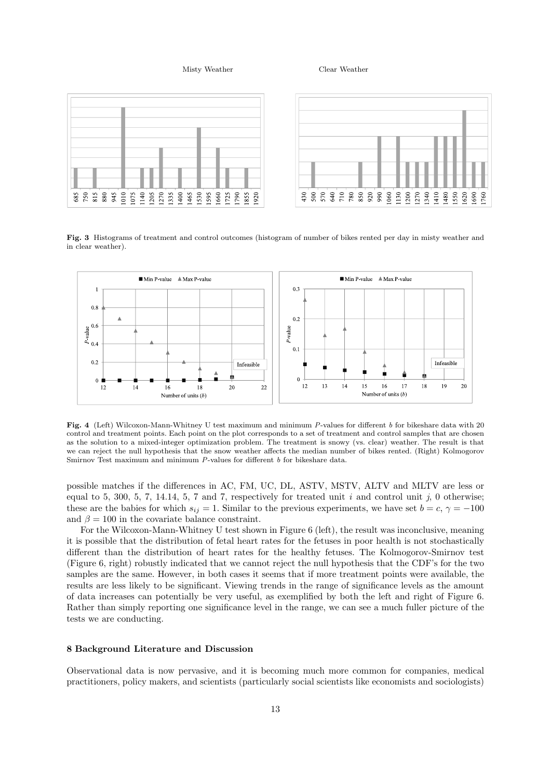Misty Weather Clear Weather



Fig. 3 Histograms of treatment and control outcomes (histogram of number of bikes rented per day in misty weather and in clear weather).



Fig. 4 (Left) Wilcoxon-Mann-Whitney U test maximum and minimum P-values for different b for bikeshare data with 20 control and treatment points. Each point on the plot corresponds to a set of treatment and control samples that are chosen as the solution to a mixed-integer optimization problem. The treatment is snowy (vs. clear) weather. The result is that we can reject the null hypothesis that the snow weather affects the median number of bikes rented. (Right) Kolmogorov Smirnov Test maximum and minimum P-values for different b for bikeshare data.

possible matches if the differences in AC, FM, UC, DL, ASTV, MSTV, ALTV and MLTV are less or equal to 5, 300, 5, 7, 14.14, 5, 7 and 7, respectively for treated unit i and control unit j, 0 otherwise; these are the babies for which  $s_{ij} = 1$ . Similar to the previous experiments, we have set  $b = c, \gamma = -100$ and  $\beta = 100$  in the covariate balance constraint.

For the Wilcoxon-Mann-Whitney U test shown in Figure 6 (left), the result was inconclusive, meaning it is possible that the distribution of fetal heart rates for the fetuses in poor health is not stochastically different than the distribution of heart rates for the healthy fetuses. The Kolmogorov-Smirnov test (Figure 6, right) robustly indicated that we cannot reject the null hypothesis that the CDF's for the two samples are the same. However, in both cases it seems that if more treatment points were available, the results are less likely to be significant. Viewing trends in the range of significance levels as the amount of data increases can potentially be very useful, as exemplified by both the left and right of Figure 6. Rather than simply reporting one significance level in the range, we can see a much fuller picture of the tests we are conducting.

# 8 Background Literature and Discussion

Observational data is now pervasive, and it is becoming much more common for companies, medical practitioners, policy makers, and scientists (particularly social scientists like economists and sociologists)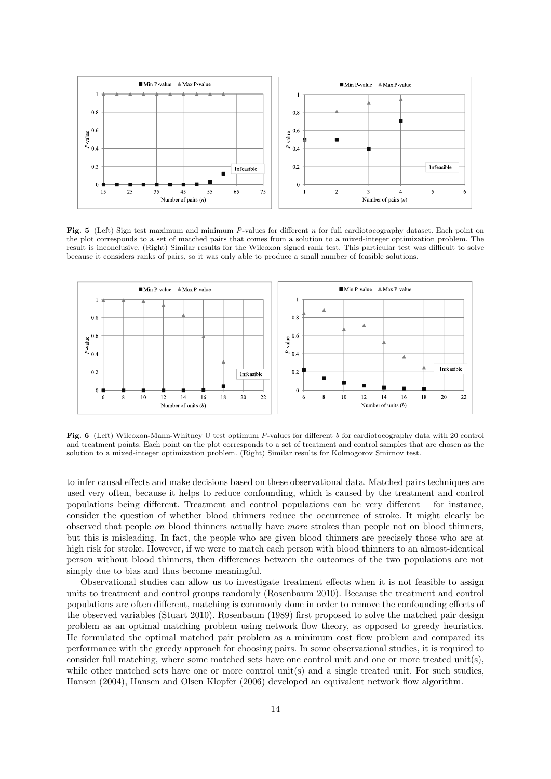

Fig. 5 (Left) Sign test maximum and minimum P-values for different n for full cardiotocography dataset. Each point on the plot corresponds to a set of matched pairs that comes from a solution to a mixed-integer optimization problem. The result is inconclusive. (Right) Similar results for the Wilcoxon signed rank test. This particular test was difficult to solve because it considers ranks of pairs, so it was only able to produce a small number of feasible solutions.



Fig. 6 (Left) Wilcoxon-Mann-Whitney U test optimum P-values for different b for cardiotocography data with 20 control and treatment points. Each point on the plot corresponds to a set of treatment and control samples that are chosen as the solution to a mixed-integer optimization problem. (Right) Similar results for Kolmogorov Smirnov test.

to infer causal effects and make decisions based on these observational data. Matched pairs techniques are used very often, because it helps to reduce confounding, which is caused by the treatment and control populations being different. Treatment and control populations can be very different – for instance, consider the question of whether blood thinners reduce the occurrence of stroke. It might clearly be observed that people on blood thinners actually have more strokes than people not on blood thinners, but this is misleading. In fact, the people who are given blood thinners are precisely those who are at high risk for stroke. However, if we were to match each person with blood thinners to an almost-identical person without blood thinners, then differences between the outcomes of the two populations are not simply due to bias and thus become meaningful.

Observational studies can allow us to investigate treatment effects when it is not feasible to assign units to treatment and control groups randomly (Rosenbaum 2010). Because the treatment and control populations are often different, matching is commonly done in order to remove the confounding effects of the observed variables (Stuart 2010). Rosenbaum (1989) first proposed to solve the matched pair design problem as an optimal matching problem using network flow theory, as opposed to greedy heuristics. He formulated the optimal matched pair problem as a minimum cost flow problem and compared its performance with the greedy approach for choosing pairs. In some observational studies, it is required to consider full matching, where some matched sets have one control unit and one or more treated unit(s), while other matched sets have one or more control unit(s) and a single treated unit. For such studies, Hansen (2004), Hansen and Olsen Klopfer (2006) developed an equivalent network flow algorithm.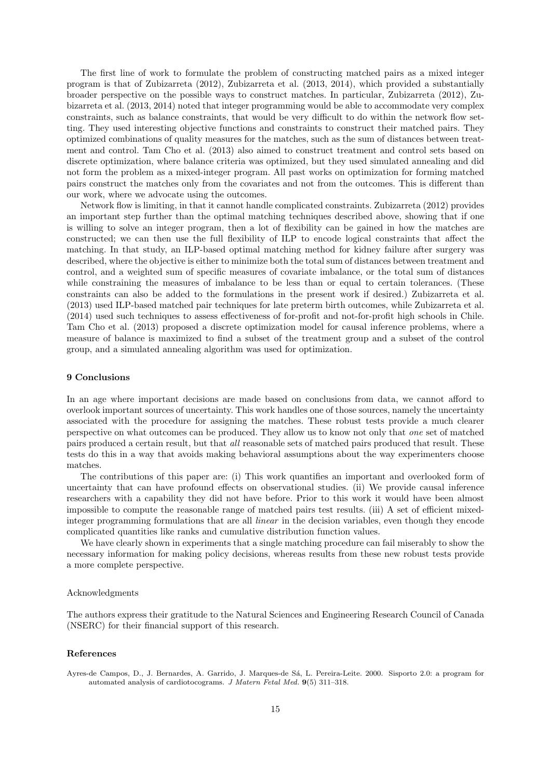The first line of work to formulate the problem of constructing matched pairs as a mixed integer program is that of Zubizarreta (2012), Zubizarreta et al. (2013, 2014), which provided a substantially broader perspective on the possible ways to construct matches. In particular, Zubizarreta (2012), Zubizarreta et al. (2013, 2014) noted that integer programming would be able to accommodate very complex constraints, such as balance constraints, that would be very difficult to do within the network flow setting. They used interesting objective functions and constraints to construct their matched pairs. They optimized combinations of quality measures for the matches, such as the sum of distances between treatment and control. Tam Cho et al. (2013) also aimed to construct treatment and control sets based on discrete optimization, where balance criteria was optimized, but they used simulated annealing and did not form the problem as a mixed-integer program. All past works on optimization for forming matched pairs construct the matches only from the covariates and not from the outcomes. This is different than our work, where we advocate using the outcomes.

Network flow is limiting, in that it cannot handle complicated constraints. Zubizarreta (2012) provides an important step further than the optimal matching techniques described above, showing that if one is willing to solve an integer program, then a lot of flexibility can be gained in how the matches are constructed; we can then use the full flexibility of ILP to encode logical constraints that affect the matching. In that study, an ILP-based optimal matching method for kidney failure after surgery was described, where the objective is either to minimize both the total sum of distances between treatment and control, and a weighted sum of specific measures of covariate imbalance, or the total sum of distances while constraining the measures of imbalance to be less than or equal to certain tolerances. (These constraints can also be added to the formulations in the present work if desired.) Zubizarreta et al. (2013) used ILP-based matched pair techniques for late preterm birth outcomes, while Zubizarreta et al. (2014) used such techniques to assess effectiveness of for-profit and not-for-profit high schools in Chile. Tam Cho et al. (2013) proposed a discrete optimization model for causal inference problems, where a measure of balance is maximized to find a subset of the treatment group and a subset of the control group, and a simulated annealing algorithm was used for optimization.

# 9 Conclusions

In an age where important decisions are made based on conclusions from data, we cannot afford to overlook important sources of uncertainty. This work handles one of those sources, namely the uncertainty associated with the procedure for assigning the matches. These robust tests provide a much clearer perspective on what outcomes can be produced. They allow us to know not only that one set of matched pairs produced a certain result, but that all reasonable sets of matched pairs produced that result. These tests do this in a way that avoids making behavioral assumptions about the way experimenters choose matches.

The contributions of this paper are: (i) This work quantifies an important and overlooked form of uncertainty that can have profound effects on observational studies. (ii) We provide causal inference researchers with a capability they did not have before. Prior to this work it would have been almost impossible to compute the reasonable range of matched pairs test results. (iii) A set of efficient mixedinteger programming formulations that are all linear in the decision variables, even though they encode complicated quantities like ranks and cumulative distribution function values.

We have clearly shown in experiments that a single matching procedure can fail miserably to show the necessary information for making policy decisions, whereas results from these new robust tests provide a more complete perspective.

# Acknowledgments

The authors express their gratitude to the Natural Sciences and Engineering Research Council of Canada (NSERC) for their financial support of this research.

# References

Ayres-de Campos, D., J. Bernardes, A. Garrido, J. Marques-de Sá, L. Pereira-Leite. 2000. Sisporto 2.0: a program for automated analysis of cardiotocograms. J Matern Fetal Med. 9(5) 311–318.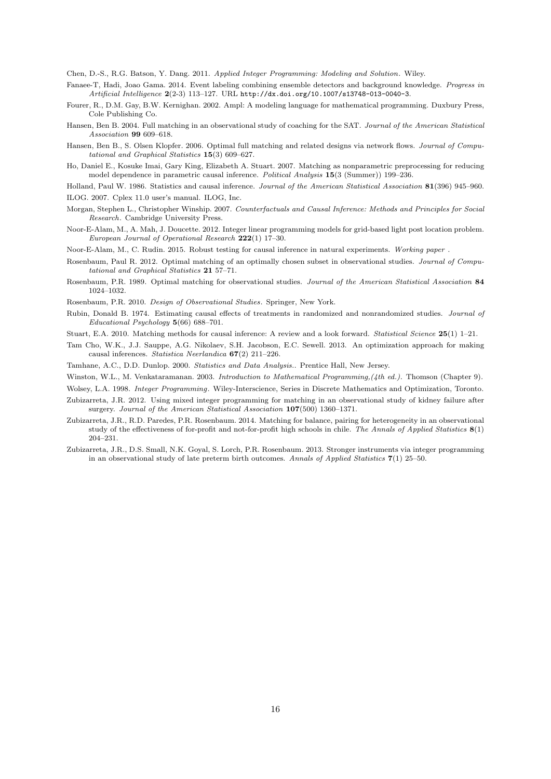Chen, D.-S., R.G. Batson, Y. Dang. 2011. Applied Integer Programming: Modeling and Solution. Wiley.

- Fanaee-T, Hadi, Joao Gama. 2014. Event labeling combining ensemble detectors and background knowledge. Progress in Artificial Intelligence 2(2-3) 113–127. URL http://dx.doi.org/10.1007/s13748-013-0040-3.
- Fourer, R., D.M. Gay, B.W. Kernighan. 2002. Ampl: A modeling language for mathematical programming. Duxbury Press, Cole Publishing Co.
- Hansen, Ben B. 2004. Full matching in an observational study of coaching for the SAT. Journal of the American Statistical Association 99 609–618.
- Hansen, Ben B., S. Olsen Klopfer. 2006. Optimal full matching and related designs via network flows. Journal of Computational and Graphical Statistics 15(3) 609–627.
- Ho, Daniel E., Kosuke Imai, Gary King, Elizabeth A. Stuart. 2007. Matching as nonparametric preprocessing for reducing model dependence in parametric causal inference. Political Analysis 15(3 (Summer)) 199–236.
- Holland, Paul W. 1986. Statistics and causal inference. Journal of the American Statistical Association 81(396) 945–960.
- ILOG. 2007. Cplex 11.0 user's manual. ILOG, Inc.
- Morgan, Stephen L., Christopher Winship. 2007. Counterfactuals and Causal Inference: Methods and Principles for Social Research. Cambridge University Press.
- Noor-E-Alam, M., A. Mah, J. Doucette. 2012. Integer linear programming models for grid-based light post location problem. European Journal of Operational Research 222(1) 17–30.
- Noor-E-Alam, M., C. Rudin. 2015. Robust testing for causal inference in natural experiments. Working paper .
- Rosenbaum, Paul R. 2012. Optimal matching of an optimally chosen subset in observational studies. Journal of Computational and Graphical Statistics 21 57–71.
- Rosenbaum, P.R. 1989. Optimal matching for observational studies. Journal of the American Statistical Association 84 1024–1032.
- Rosenbaum, P.R. 2010. Design of Observational Studies. Springer, New York.
- Rubin, Donald B. 1974. Estimating causal effects of treatments in randomized and nonrandomized studies. Journal of Educational Psychology 5(66) 688–701.
- Stuart, E.A. 2010. Matching methods for causal inference: A review and a look forward. Statistical Science 25(1) 1–21.
- Tam Cho, W.K., J.J. Sauppe, A.G. Nikolaev, S.H. Jacobson, E.C. Sewell. 2013. An optimization approach for making causal inferences. Statistica Neerlandica 67(2) 211–226.

Tamhane, A.C., D.D. Dunlop. 2000. Statistics and Data Analysis.. Prentice Hall, New Jersey.

Winston, W.L., M. Venkataramanan. 2003. Introduction to Mathematical Programming, (4th ed.). Thomson (Chapter 9).

Wolsey, L.A. 1998. Integer Programming. Wiley-Interscience, Series in Discrete Mathematics and Optimization, Toronto.

- Zubizarreta, J.R. 2012. Using mixed integer programming for matching in an observational study of kidney failure after surgery. Journal of the American Statistical Association 107(500) 1360-1371.
- Zubizarreta, J.R., R.D. Paredes, P.R. Rosenbaum. 2014. Matching for balance, pairing for heterogeneity in an observational study of the effectiveness of for-profit and not-for-profit high schools in chile. The Annals of Applied Statistics  $8(1)$ 204–231.
- Zubizarreta, J.R., D.S. Small, N.K. Goyal, S. Lorch, P.R. Rosenbaum. 2013. Stronger instruments via integer programming in an observational study of late preterm birth outcomes. Annals of Applied Statistics 7(1) 25–50.